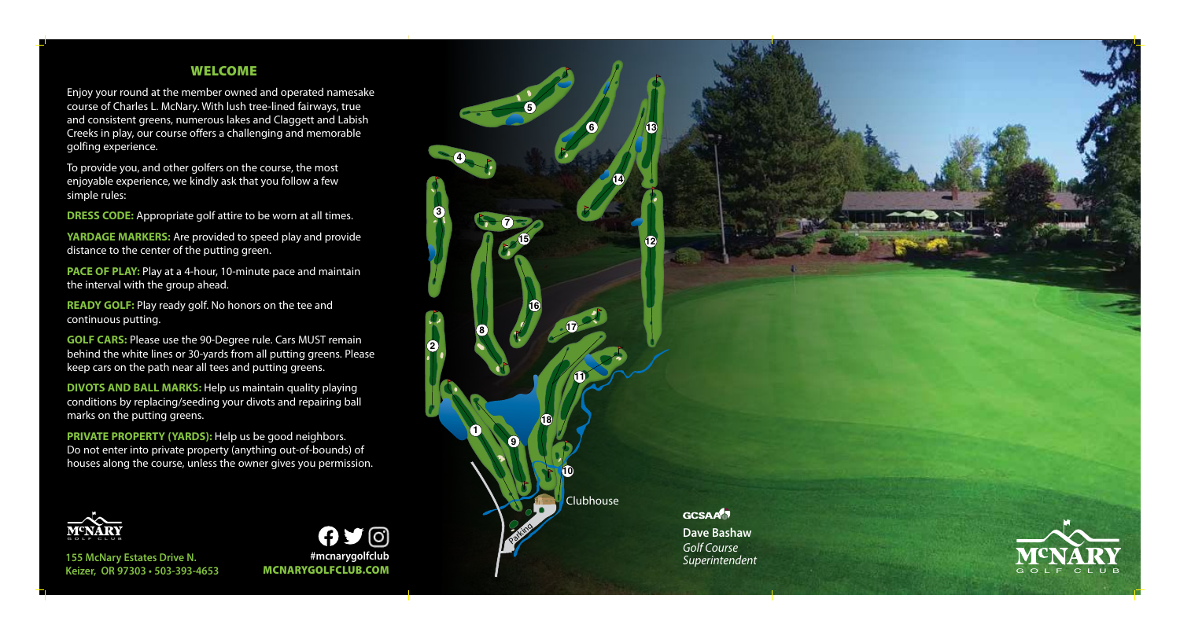## WELCOME

Enjoy your round at the member owned and operated namesake course of Charles L. McNary. With lush tree-lined fairways, true and consistent greens, numerous lakes and Claggett and Labish Creeks in play, our course offers a challenging and memorable golfing experience.

To provide you, and other golfers on the course, the most enjoyable experience, we kindly ask that you follow a few simple rules:

**DRESS CODE:** Appropriate golf attire to be worn at all times.

**YARDAGE MARKERS:** Are provided to speed play and provide distance to the center of the putting green.

**PACE OF PLAY:** Play at a 4-hour, 10-minute pace and maintain the interval with the group ahead.

**READY GOLF:** Play ready golf. No honors on the tee and continuous putting.

**GOLF CARS:** Please use the 90-Degree rule. Cars MUST remain behind the white lines or 30-yards from all putting greens. Please keep cars on the path near all tees and putting greens.

**DIVOTS AND BALL MARKS:** Help us maintain quality playing conditions by replacing/seeding your divots and repairing ball marks on the putting greens.

**PRIVATE PROPERTY (YARDS):** Help us be good neighbors. Do not enter into private property (anything out-of-bounds) of houses along the course, unless the owner gives you permission.



**155 McNary Estates Drive N. Keizer, OR 97303 • 503-393-4653**